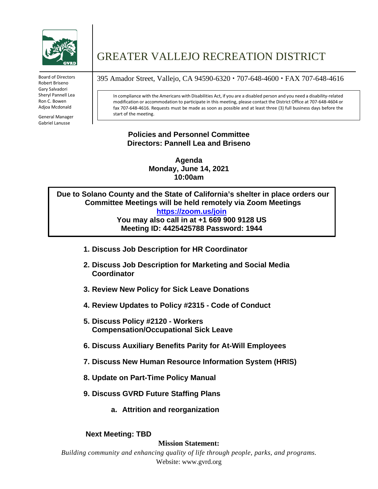

Robert Briseno Gary Salvadori Sheryl Pannell Lea Ron C. Bowen Adjoa Mcdonald

**Policies and**  Gabriel Lanusse General Manager

# GREATER VALLEJO RECREATION DISTRICT

Board of Directors 395 Amador Street, Vallejo, CA 94590-6320  $\cdot$  707-648-4600  $\cdot$  FAX 707-648-4616

In compliance with the Americans with Disabilities Act, if you are a disabled person and you need a disability-related modification or accommodation to participate in this meeting, please contact the District Office at 707-648-4604 or fax 707-648-4616. Requests must be made as soon as possible and at least three (3) full business days before the start of the meeting.

#### **Policies and Personnel Committee Directors: Pannell Lea and Briseno**

**Agenda Monday, June 14, 2021 10:00am**

**Due to Solano County and the State of California's shelter in place orders our Committee Meetings will be held remotely via Zoom Meetings <https://zoom.us/join> You may also call in at +1 669 900 9128 US Meeting ID: 4425425788 Password: 1944**

- **1. Discuss Job Description for HR Coordinator**
- **2. Discuss Job Description for Marketing and Social Media Coordinator**
- **3. Review New Policy for Sick Leave Donations**
- **4. Review Updates to Policy #2315 - Code of Conduct**
- **5. Discuss Policy #2120 - Workers Compensation/Occupational Sick Leave**
- **6. Discuss Auxiliary Benefits Parity for At-Will Employees**
- **7. Discuss New Human Resource Information System (HRIS)**
- **8. Update on Part-Time Policy Manual**
- **9. Discuss GVRD Future Staffing Plans**
	- **a. Attrition and reorganization**

#### **Next Meeting: TBD**

#### **Mission Statement:**

*Building community and enhancing quality of life through people, parks, and programs.* Website: www.gvrd.org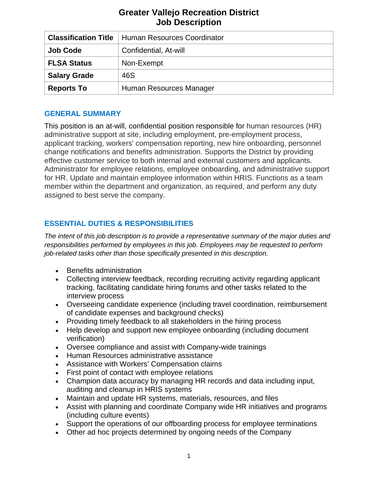| <b>Classification Title</b> | Human Resources Coordinator |
|-----------------------------|-----------------------------|
| <b>Job Code</b>             | Confidential, At-will       |
| <b>FLSA Status</b>          | Non-Exempt                  |
| <b>Salary Grade</b>         | 46S                         |
| <b>Reports To</b>           | Human Resources Manager     |

# **GENERAL SUMMARY**

This position is an at-will, confidential position responsible for human resources (HR) administrative support at site, including employment, pre-employment process, applicant tracking, workers' compensation reporting, new hire onboarding, personnel change notifications and benefits administration. Supports the District by providing effective customer service to both internal and external customers and applicants. Administrator for employee relations, employee onboarding, and administrative support for HR. Update and maintain employee information within HRIS. Functions as a team member within the department and organization, as required, and perform any duty assigned to best serve the company.

# **ESSENTIAL DUTIES & RESPONSIBILITIES**

*The intent of this job description is to provide a representative summary of the major duties and responsibilities performed by employees in this job. Employees may be requested to perform job-related tasks other than those specifically presented in this description.*

- Benefits administration
- Collecting interview feedback, recording recruiting activity regarding applicant tracking, facilitating candidate hiring forums and other tasks related to the interview process
- Overseeing candidate experience (including travel coordination, reimbursement of candidate expenses and background checks)
- Providing timely feedback to all stakeholders in the hiring process
- Help develop and support new employee onboarding (including document verification)
- Oversee compliance and assist with Company-wide trainings
- Human Resources administrative assistance
- Assistance with Workers' Compensation claims
- First point of contact with employee relations
- Champion data accuracy by managing HR records and data including input, auditing and cleanup in HRIS systems
- Maintain and update HR systems, materials, resources, and files
- Assist with planning and coordinate Company wide HR initiatives and programs (including culture events)
- Support the operations of our offboarding process for employee terminations
- Other ad hoc projects determined by ongoing needs of the Company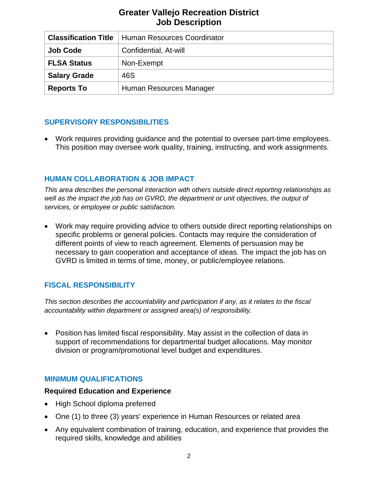| <b>Classification Title</b> | Human Resources Coordinator |
|-----------------------------|-----------------------------|
| <b>Job Code</b>             | Confidential, At-will       |
| <b>FLSA Status</b>          | Non-Exempt                  |
| <b>Salary Grade</b>         | 46S                         |
| <b>Reports To</b>           | Human Resources Manager     |

## **SUPERVISORY RESPONSIBILITIES**

• Work requires providing guidance and the potential to oversee part-time employees. This position may oversee work quality, training, instructing, and work assignments.

# **HUMAN COLLABORATION & JOB IMPACT**

*This area describes the personal interaction with others outside direct reporting relationships as*  well as the impact the job has on GVRD, the department or unit objectives, the output of *services, or employee or public satisfaction.*

• Work may require providing advice to others outside direct reporting relationships on specific problems or general policies. Contacts may require the consideration of different points of view to reach agreement. Elements of persuasion may be necessary to gain cooperation and acceptance of ideas. The impact the job has on GVRD is limited in terms of time, money, or public/employee relations.

# **FISCAL RESPONSIBILITY**

*This section describes the accountability and participation if any, as it relates to the fiscal accountability within department or assigned area(s) of responsibility.*

• Position has limited fiscal responsibility. May assist in the collection of data in support of recommendations for departmental budget allocations. May monitor division or program/promotional level budget and expenditures.

## **MINIMUM QUALIFICATIONS**

#### **Required Education and Experience**

- High School diploma preferred
- One (1) to three (3) years' experience in Human Resources or related area
- Any equivalent combination of training, education, and experience that provides the required skills, knowledge and abilities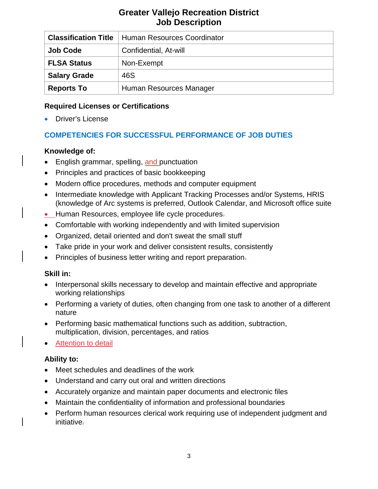| <b>Classification Title</b> | Human Resources Coordinator |
|-----------------------------|-----------------------------|
| <b>Job Code</b>             | Confidential, At-will       |
| <b>FLSA Status</b>          | Non-Exempt                  |
| <b>Salary Grade</b>         | 46S                         |
| <b>Reports To</b>           | Human Resources Manager     |

## **Required Licenses or Certifications**

• Driver's License

# **COMPETENCIES FOR SUCCESSFUL PERFORMANCE OF JOB DUTIES**

# **Knowledge of:**

- English grammar, spelling, and punctuation
- Principles and practices of basic bookkeeping
- Modern office procedures, methods and computer equipment
- Intermediate knowledge with Applicant Tracking Processes and/or Systems, HRIS (knowledge of Arc systems is preferred, Outlook Calendar, and Microsoft office suite
- Human Resources, employee life cycle procedures-
- Comfortable with working independently and with limited supervision
- Organized, detail oriented and don't sweat the small stuff
- Take pride in your work and deliver consistent results, consistently
- Principles of business letter writing and report preparation-

## **Skill in:**

- Interpersonal skills necessary to develop and maintain effective and appropriate working relationships
- Performing a variety of duties, often changing from one task to another of a different nature
- Performing basic mathematical functions such as addition, subtraction, multiplication, division, percentages, and ratios
- Attention to detail

## **Ability to:**

- Meet schedules and deadlines of the work
- Understand and carry out oral and written directions
- Accurately organize and maintain paper documents and electronic files
- Maintain the confidentiality of information and professional boundaries
- Perform human resources clerical work requiring use of independent judgment and initiative.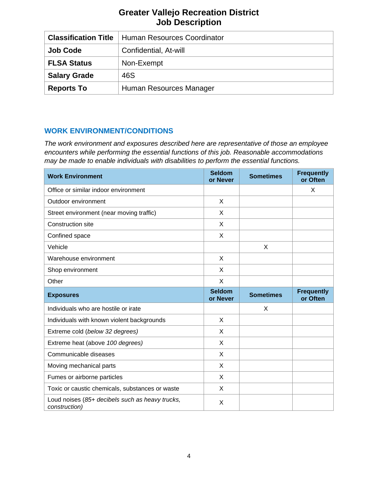| <b>Classification Title</b> | Human Resources Coordinator |
|-----------------------------|-----------------------------|
| <b>Job Code</b>             | Confidential, At-will       |
| <b>FLSA Status</b>          | Non-Exempt                  |
| <b>Salary Grade</b>         | 46S                         |
| <b>Reports To</b>           | Human Resources Manager     |

# **WORK ENVIRONMENT/CONDITIONS**

*The work environment and exposures described here are representative of those an employee encounters while performing the essential functions of this job. Reasonable accommodations may be made to enable individuals with disabilities to perform the essential functions.*

| <b>Work Environment</b>                                          | <b>Seldom</b><br>or Never | <b>Sometimes</b> | <b>Frequently</b><br>or Often |
|------------------------------------------------------------------|---------------------------|------------------|-------------------------------|
| Office or similar indoor environment                             |                           |                  | X                             |
| Outdoor environment                                              | X                         |                  |                               |
| Street environment (near moving traffic)                         | X                         |                  |                               |
| <b>Construction site</b>                                         | X                         |                  |                               |
| Confined space                                                   | X                         |                  |                               |
| Vehicle                                                          |                           | X                |                               |
| Warehouse environment                                            | X                         |                  |                               |
| Shop environment                                                 | X                         |                  |                               |
| Other                                                            | X                         |                  |                               |
| <b>Exposures</b>                                                 | <b>Seldom</b><br>or Never | <b>Sometimes</b> | <b>Frequently</b><br>or Often |
| Individuals who are hostile or irate                             |                           | X                |                               |
| Individuals with known violent backgrounds                       | X                         |                  |                               |
| Extreme cold (below 32 degrees)                                  | X                         |                  |                               |
| Extreme heat (above 100 degrees)                                 | X                         |                  |                               |
| Communicable diseases                                            | X                         |                  |                               |
| Moving mechanical parts                                          | X                         |                  |                               |
| Fumes or airborne particles                                      | X                         |                  |                               |
| Toxic or caustic chemicals, substances or waste                  | X                         |                  |                               |
| Loud noises (85+ decibels such as heavy trucks,<br>construction) | X                         |                  |                               |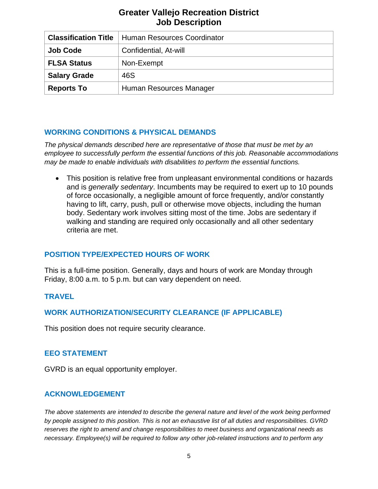| <b>Classification Title</b> | Human Resources Coordinator |
|-----------------------------|-----------------------------|
| <b>Job Code</b>             | Confidential, At-will       |
| <b>FLSA Status</b>          | Non-Exempt                  |
| <b>Salary Grade</b>         | 46S                         |
| <b>Reports To</b>           | Human Resources Manager     |

## **WORKING CONDITIONS & PHYSICAL DEMANDS**

*The physical demands described here are representative of those that must be met by an employee to successfully perform the essential functions of this job. Reasonable accommodations may be made to enable individuals with disabilities to perform the essential functions.*

• This position is relative free from unpleasant environmental conditions or hazards and is *generally sedentary*. Incumbents may be required to exert up to 10 pounds of force occasionally, a negligible amount of force frequently, and/or constantly having to lift, carry, push, pull or otherwise move objects, including the human body. Sedentary work involves sitting most of the time. Jobs are sedentary if walking and standing are required only occasionally and all other sedentary criteria are met.

## **POSITION TYPE/EXPECTED HOURS OF WORK**

This is a full-time position. Generally, days and hours of work are Monday through Friday, 8:00 a.m. to 5 p.m. but can vary dependent on need.

## **TRAVEL**

#### **WORK AUTHORIZATION/SECURITY CLEARANCE (IF APPLICABLE)**

This position does not require security clearance.

#### **EEO STATEMENT**

GVRD is an equal opportunity employer.

#### **ACKNOWLEDGEMENT**

*The above statements are intended to describe the general nature and level of the work being performed by people assigned to this position. This is not an exhaustive list of all duties and responsibilities. GVRD reserves the right to amend and change responsibilities to meet business and organizational needs as necessary. Employee(s) will be required to follow any other job-related instructions and to perform any*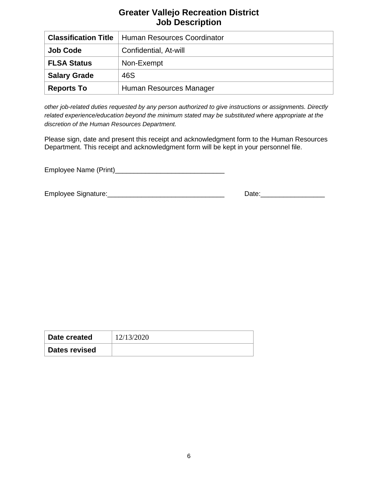| <b>Classification Title</b> | Human Resources Coordinator |
|-----------------------------|-----------------------------|
| <b>Job Code</b>             | Confidential, At-will       |
| <b>FLSA Status</b>          | Non-Exempt                  |
| <b>Salary Grade</b>         | 46S                         |
| <b>Reports To</b>           | Human Resources Manager     |

*other job-related duties requested by any person authorized to give instructions or assignments. Directly related experience/education beyond the minimum stated may be substituted where appropriate at the discretion of the Human Resources Department.*

Please sign, date and present this receipt and acknowledgment form to the Human Resources Department. This receipt and acknowledgment form will be kept in your personnel file.

Employee Name (Print)\_\_\_\_\_\_\_\_\_\_\_\_\_\_\_\_\_\_\_\_\_\_\_\_\_\_\_\_\_

Employee Signature:\_\_\_\_\_\_\_\_\_\_\_\_\_\_\_\_\_\_\_\_\_\_\_\_\_\_\_\_\_\_\_ Date:\_\_\_\_\_\_\_\_\_\_\_\_\_\_\_\_\_

| Date created         | 12/13/2020 |
|----------------------|------------|
| <b>Dates revised</b> |            |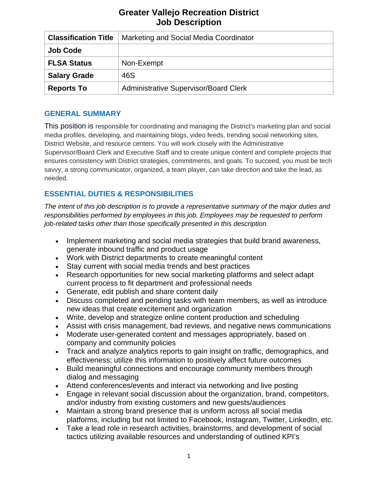| <b>Classification Title</b> | Marketing and Social Media Coordinator       |
|-----------------------------|----------------------------------------------|
| <b>Job Code</b>             |                                              |
| <b>FLSA Status</b>          | Non-Exempt                                   |
| <b>Salary Grade</b>         | 46S                                          |
| <b>Reports To</b>           | <b>Administrative Supervisor/Board Clerk</b> |

## **GENERAL SUMMARY**

This position is responsible for coordinating and managing the District's marketing plan and social media profiles, developing, and maintaining blogs, video feeds, trending social networking sites, District Website, and resource centers. You will work closely with the Administrative Supervisor/Board Clerk and Executive Staff and to create unique content and complete projects that ensures consistency with District strategies, commitments, and goals. To succeed, you must be tech savvy, a strong communicator, organized, a team player, can take direction and take the lead, as needed.

# **ESSENTIAL DUTIES & RESPONSIBILITIES**

*The intent of this job description is to provide a representative summary of the major duties and responsibilities performed by employees in this job. Employees may be requested to perform job-related tasks other than those specifically presented in this description.*

- Implement marketing and social media strategies that build brand awareness, generate inbound traffic and product usage
- Work with District departments to create meaningful content
- Stay current with social media trends and best practices
- Research opportunities for new social marketing platforms and select adapt current process to fit department and professional needs
- Generate, edit publish and share content daily
- Discuss completed and pending tasks with team members, as well as introduce new ideas that create excitement and organization
- Write, develop and strategize online content production and scheduling
- Assist with crisis management, bad reviews, and negative news communications
- Moderate user-generated content and messages appropriately, based on company and community policies
- Track and analyze analytics reports to gain insight on traffic, demographics, and effectiveness; utilize this information to positively affect future outcomes
- Build meaningful connections and encourage community members through dialog and messaging
- Attend conferences/events and interact via networking and live posting
- Engage in relevant social discussion about the organization, brand, competitors, and/or industry from existing customers and new guests/audiences
- Maintain a strong brand presence that is uniform across all social media platforms, including but not limited to Facebook, Instagram, Twitter, LinkedIn, etc.
- Take a lead role in research activities, brainstorms, and development of social tactics utilizing available resources and understanding of outlined KPI's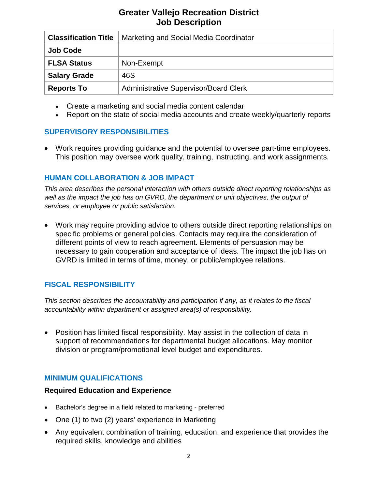| <b>Classification Title</b> | Marketing and Social Media Coordinator       |
|-----------------------------|----------------------------------------------|
| <b>Job Code</b>             |                                              |
| <b>FLSA Status</b>          | Non-Exempt                                   |
| <b>Salary Grade</b>         | 46S                                          |
| <b>Reports To</b>           | <b>Administrative Supervisor/Board Clerk</b> |

- Create a marketing and social media content calendar
- Report on the state of social media accounts and create weekly/quarterly reports

## **SUPERVISORY RESPONSIBILITIES**

• Work requires providing guidance and the potential to oversee part-time employees. This position may oversee work quality, training, instructing, and work assignments.

#### **HUMAN COLLABORATION & JOB IMPACT**

*This area describes the personal interaction with others outside direct reporting relationships as well as the impact the job has on GVRD, the department or unit objectives, the output of services, or employee or public satisfaction.*

• Work may require providing advice to others outside direct reporting relationships on specific problems or general policies. Contacts may require the consideration of different points of view to reach agreement. Elements of persuasion may be necessary to gain cooperation and acceptance of ideas. The impact the job has on GVRD is limited in terms of time, money, or public/employee relations.

## **FISCAL RESPONSIBILITY**

*This section describes the accountability and participation if any, as it relates to the fiscal accountability within department or assigned area(s) of responsibility.*

• Position has limited fiscal responsibility. May assist in the collection of data in support of recommendations for departmental budget allocations. May monitor division or program/promotional level budget and expenditures.

## **MINIMUM QUALIFICATIONS**

#### **Required Education and Experience**

- Bachelor's degree in a field related to marketing preferred
- One (1) to two (2) years' experience in Marketing
- Any equivalent combination of training, education, and experience that provides the required skills, knowledge and abilities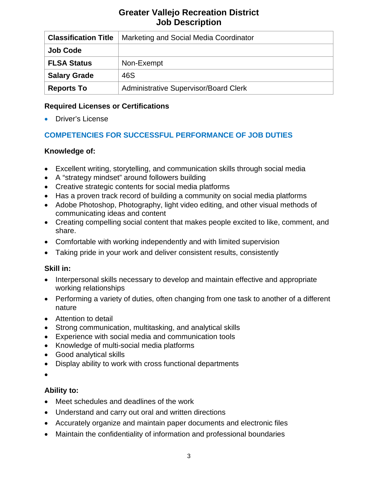| <b>Classification Title</b> | Marketing and Social Media Coordinator       |
|-----------------------------|----------------------------------------------|
| <b>Job Code</b>             |                                              |
| <b>FLSA Status</b>          | Non-Exempt                                   |
| <b>Salary Grade</b>         | 46S                                          |
| <b>Reports To</b>           | <b>Administrative Supervisor/Board Clerk</b> |

# **Required Licenses or Certifications**

• Driver's License

# **COMPETENCIES FOR SUCCESSFUL PERFORMANCE OF JOB DUTIES**

# **Knowledge of:**

- Excellent writing, storytelling, and communication skills through social media
- A "strategy mindset" around followers building
- Creative strategic contents for social media platforms
- Has a proven track record of building a community on social media platforms
- Adobe Photoshop, Photography, light video editing, and other visual methods of communicating ideas and content
- Creating compelling social content that makes people excited to like, comment, and share.
- Comfortable with working independently and with limited supervision
- Taking pride in your work and deliver consistent results, consistently

# **Skill in:**

- Interpersonal skills necessary to develop and maintain effective and appropriate working relationships
- Performing a variety of duties, often changing from one task to another of a different nature
- Attention to detail
- Strong communication, multitasking, and analytical skills
- Experience with social media and communication tools
- Knowledge of multi-social media platforms
- Good analytical skills
- Display ability to work with cross functional departments
- •

# **Ability to:**

- Meet schedules and deadlines of the work
- Understand and carry out oral and written directions
- Accurately organize and maintain paper documents and electronic files
- Maintain the confidentiality of information and professional boundaries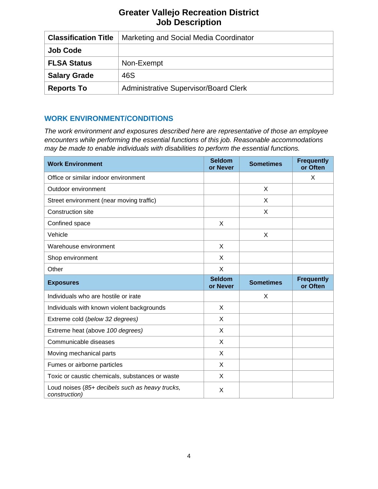| <b>Classification Title</b> | Marketing and Social Media Coordinator       |
|-----------------------------|----------------------------------------------|
| <b>Job Code</b>             |                                              |
| <b>FLSA Status</b>          | Non-Exempt                                   |
| <b>Salary Grade</b>         | 46S                                          |
| <b>Reports To</b>           | <b>Administrative Supervisor/Board Clerk</b> |

#### **WORK ENVIRONMENT/CONDITIONS**

*The work environment and exposures described here are representative of those an employee encounters while performing the essential functions of this job. Reasonable accommodations may be made to enable individuals with disabilities to perform the essential functions.*

| <b>Work Environment</b>                         | <b>Seldom</b><br>or Never | <b>Sometimes</b> | <b>Frequently</b><br>or Often |
|-------------------------------------------------|---------------------------|------------------|-------------------------------|
| Office or similar indoor environment            |                           |                  | X                             |
| Outdoor environment                             |                           | X                |                               |
| Street environment (near moving traffic)        |                           | X                |                               |
| <b>Construction site</b>                        |                           | X                |                               |
| Confined space                                  | X                         |                  |                               |
| Vehicle                                         |                           | X                |                               |
| Warehouse environment                           | X                         |                  |                               |
| Shop environment                                | X                         |                  |                               |
| Other                                           | X                         |                  |                               |
|                                                 |                           |                  |                               |
| <b>Exposures</b>                                | <b>Seldom</b><br>or Never | <b>Sometimes</b> | <b>Frequently</b><br>or Often |
| Individuals who are hostile or irate            |                           | X                |                               |
| Individuals with known violent backgrounds      | X                         |                  |                               |
| Extreme cold (below 32 degrees)                 | X                         |                  |                               |
| Extreme heat (above 100 degrees)                | X                         |                  |                               |
| Communicable diseases                           | X                         |                  |                               |
| Moving mechanical parts                         | X                         |                  |                               |
| Fumes or airborne particles                     | X                         |                  |                               |
| Toxic or caustic chemicals, substances or waste | X                         |                  |                               |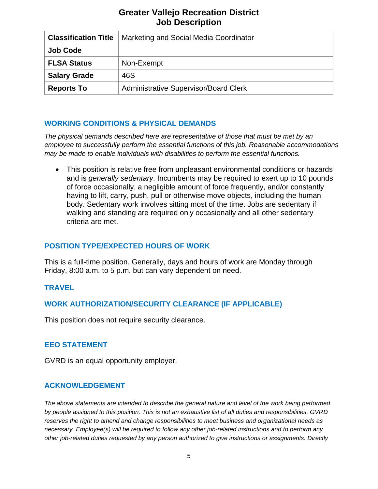| <b>Classification Title</b> | Marketing and Social Media Coordinator       |  |
|-----------------------------|----------------------------------------------|--|
| <b>Job Code</b>             |                                              |  |
| <b>FLSA Status</b>          | Non-Exempt                                   |  |
| <b>Salary Grade</b>         | 46S                                          |  |
| <b>Reports To</b>           | <b>Administrative Supervisor/Board Clerk</b> |  |

## **WORKING CONDITIONS & PHYSICAL DEMANDS**

*The physical demands described here are representative of those that must be met by an employee to successfully perform the essential functions of this job. Reasonable accommodations may be made to enable individuals with disabilities to perform the essential functions.*

• This position is relative free from unpleasant environmental conditions or hazards and is *generally sedentary*. Incumbents may be required to exert up to 10 pounds of force occasionally, a negligible amount of force frequently, and/or constantly having to lift, carry, push, pull or otherwise move objects, including the human body. Sedentary work involves sitting most of the time. Jobs are sedentary if walking and standing are required only occasionally and all other sedentary criteria are met.

# **POSITION TYPE/EXPECTED HOURS OF WORK**

This is a full-time position. Generally, days and hours of work are Monday through Friday, 8:00 a.m. to 5 p.m. but can vary dependent on need.

# **TRAVEL**

# **WORK AUTHORIZATION/SECURITY CLEARANCE (IF APPLICABLE)**

This position does not require security clearance.

## **EEO STATEMENT**

GVRD is an equal opportunity employer.

## **ACKNOWLEDGEMENT**

*The above statements are intended to describe the general nature and level of the work being performed by people assigned to this position. This is not an exhaustive list of all duties and responsibilities. GVRD reserves the right to amend and change responsibilities to meet business and organizational needs as necessary. Employee(s) will be required to follow any other job-related instructions and to perform any other job-related duties requested by any person authorized to give instructions or assignments. Directly*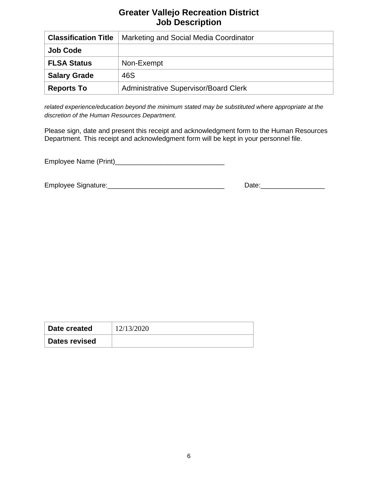| <b>Classification Title</b> | Marketing and Social Media Coordinator       |  |
|-----------------------------|----------------------------------------------|--|
| <b>Job Code</b>             |                                              |  |
| <b>FLSA Status</b>          | Non-Exempt                                   |  |
| <b>Salary Grade</b>         | 46S                                          |  |
| <b>Reports To</b>           | <b>Administrative Supervisor/Board Clerk</b> |  |

*related experience/education beyond the minimum stated may be substituted where appropriate at the discretion of the Human Resources Department.*

Please sign, date and present this receipt and acknowledgment form to the Human Resources Department. This receipt and acknowledgment form will be kept in your personnel file.

Employee Name (Print)\_\_\_\_\_\_\_\_\_\_\_\_\_\_\_\_\_\_\_\_\_\_\_\_\_\_\_\_\_

Employee Signature:\_\_\_\_\_\_\_\_\_\_\_\_\_\_\_\_\_\_\_\_\_\_\_\_\_\_\_\_\_\_\_ Date:\_\_\_\_\_\_\_\_\_\_\_\_\_\_\_\_\_

| Date created  | 12/13/2020 |
|---------------|------------|
| Dates revised |            |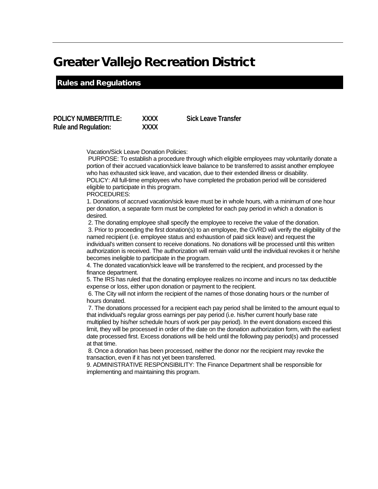#### Rules and Regulations

**POLICY NUMBER/TITLE: XXXX Sick Leave Transfer Rule and Regulation: XXXX**

Vacation/Sick Leave Donation Policies:

PURPOSE: To establish a procedure through which eligible employees may voluntarily donate a portion of their accrued vacation/sick leave balance to be transferred to assist another employee who has exhausted sick leave, and vacation, due to their extended illness or disability. POLICY: All full-time employees who have completed the probation period will be considered eligible to participate in this program. PROCEDURES:

1. Donations of accrued vacation/sick leave must be in whole hours, with a minimum of one hour per donation, a separate form must be completed for each pay period in which a donation is desired.

2. The donating employee shall specify the employee to receive the value of the donation. 3. Prior to proceeding the first donation(s) to an employee, the GVRD will verify the eligibility of the

named recipient (i.e. employee status and exhaustion of paid sick leave) and request the individual's written consent to receive donations. No donations will be processed until this written authorization is received. The authorization will remain valid until the individual revokes it or he/she becomes ineligible to participate in the program.

4. The donated vacation/sick leave will be transferred to the recipient, and processed by the finance department.

5. The IRS has ruled that the donating employee realizes no income and incurs no tax deductible expense or loss, either upon donation or payment to the recipient.

6. The City will not inform the recipient of the names of those donating hours or the number of hours donated.

7. The donations processed for a recipient each pay period shall be limited to the amount equal to that individual's regular gross earnings per pay period (i.e. his/her current hourly base rate multiplied by his/her schedule hours of work per pay period). In the event donations exceed this limit, they will be processed in order of the date on the donation authorization form, with the earliest date processed first. Excess donations will be held until the following pay period(s) and processed at that time.

8. Once a donation has been processed, neither the donor nor the recipient may revoke the transaction, even if it has not yet been transferred.

9. ADMINISTRATIVE RESPONSIBILITY: The Finance Department shall be responsible for implementing and maintaining this program.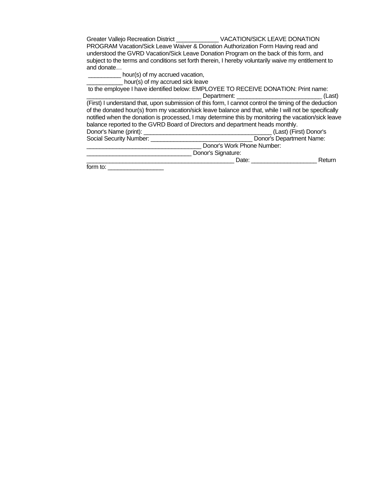| Greater Vallejo Recreation District VACATION/SICK LEAVE DONATION                                      |        |  |
|-------------------------------------------------------------------------------------------------------|--------|--|
| PROGRAM Vacation/Sick Leave Waiver & Donation Authorization Form Having read and                      |        |  |
| understood the GVRD Vacation/Sick Leave Donation Program on the back of this form, and                |        |  |
| subject to the terms and conditions set forth therein, I hereby voluntarily waive my entitlement to   |        |  |
| and donate                                                                                            |        |  |
| hour(s) of my accrued vacation,                                                                       |        |  |
| hour(s) of my accrued sick leave                                                                      |        |  |
| to the employee I have identified below: EMPLOYEE TO RECEIVE DONATION: Print name:                    |        |  |
|                                                                                                       | (Last) |  |
| (First) I understand that, upon submission of this form, I cannot control the timing of the deduction |        |  |
| of the donated hour(s) from my vacation/sick leave balance and that, while I will not be specifically |        |  |

|                                                                               | notified when the donation is processed, I may determine this by monitoring the vacation/sick leave |
|-------------------------------------------------------------------------------|-----------------------------------------------------------------------------------------------------|
| balance reported to the GVRD Board of Directors and department heads monthly. |                                                                                                     |
| Donor's Name (print):                                                         | (Last) (First) Donor's                                                                              |
| Social Security Number:                                                       | Donor's Department Name:                                                                            |
|                                                                               | Donor's Work Phone Number:                                                                          |

\_\_\_\_\_\_\_\_\_\_\_\_\_\_\_\_\_\_\_\_\_\_\_\_\_\_\_\_\_\_\_\_ Donor's Signature: \_\_\_\_\_\_\_\_\_\_\_\_\_\_\_\_\_\_\_\_\_\_\_\_\_\_\_\_\_\_\_\_\_\_\_\_\_\_\_\_\_\_\_\_\_ Date: \_\_\_\_\_\_\_\_\_\_\_\_\_\_\_\_\_\_\_\_ Return

 $form to:$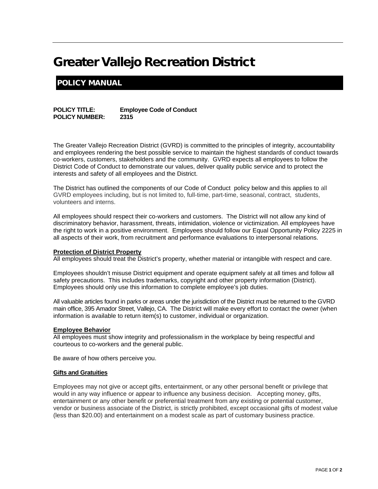# POLICY MANUAL

**POLICY TITLE: Employee Code of Conduct POLICY NUMBER:** 

The Greater Vallejo Recreation District (GVRD) is committed to the principles of integrity, accountability and employees rendering the best possible service to maintain the highest standards of conduct towards co-workers, customers, stakeholders and the community. GVRD expects all employees to follow the District Code of Conduct to demonstrate our values, deliver quality public service and to protect the interests and safety of all employees and the District.

The District has outlined the components of our Code of Conduct policy below and this applies to all GVRD employees including, but is not limited to, full-time, part-time, seasonal, contract, students, volunteers and interns.

All employees should respect their co-workers and customers. The District will not allow any kind of discriminatory behavior, harassment, threats, intimidation, violence or victimization. All employees have the right to work in a positive environment. Employees should follow our Equal Opportunity Policy 2225 in all aspects of their work, from recruitment and performance evaluations to interpersonal relations.

#### **Protection of District Property**

All employees should treat the District's property, whether material or intangible with respect and care.

Employees shouldn't misuse District equipment and operate equipment safely at all times and follow all safety precautions. This includes trademarks, copyright and other property information (District). Employees should only use this information to complete employee's job duties.

All valuable articles found in parks or areas under the jurisdiction of the District must be returned to the GVRD main office, 395 Amador Street, Vallejo, CA. The District will make every effort to contact the owner (when information is available to return item(s) to customer, individual or organization.

#### **Employee Behavior**

All employees must show integrity and professionalism in the workplace by being respectful and courteous to co-workers and the general public.

Be aware of how others perceive you.

#### **Gifts and Gratuities**

Employees may not give or accept gifts, entertainment, or any other personal benefit or privilege that would in any way influence or appear to influence any business decision. Accepting money, gifts, entertainment or any other benefit or preferential treatment from any existing or potential customer, vendor or business associate of the District, is strictly prohibited, except occasional gifts of modest value (less than \$20.00) and entertainment on a modest scale as part of customary business practice.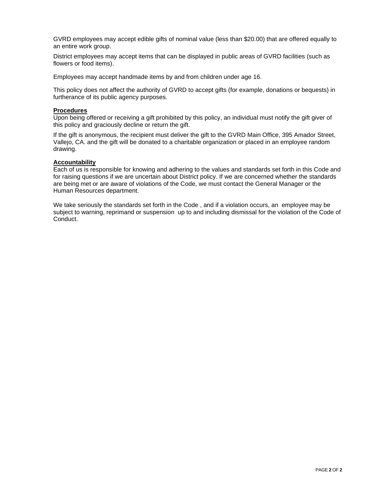GVRD employees may accept edible gifts of nominal value (less than \$20.00) that are offered equally to an entire work group.

District employees may accept items that can be displayed in public areas of GVRD facilities (such as flowers or food items).

Employees may accept handmade items by and from children under age 16.

This policy does not affect the authority of GVRD to accept gifts (for example, donations or bequests) in furtherance of its public agency purposes.

#### **Procedures**

Upon being offered or receiving a gift prohibited by this policy, an individual must notify the gift giver of this policy and graciously decline or return the gift.

If the gift is anonymous, the recipient must deliver the gift to the GVRD Main Office, 395 Amador Street, Vallejo, CA. and the gift will be donated to a charitable organization or placed in an employee random drawing.

#### **Accountability**

Each of us is responsible for knowing and adhering to the values and standards set forth in this Code and for raising questions if we are uncertain about District policy. If we are concerned whether the standards are being met or are aware of violations of the Code, we must contact the General Manager or the Human Resources department.

We take seriously the standards set forth in the Code , and if a violation occurs, an employee may be subject to warning, reprimand or suspension up to and including dismissal for the violation of the Code of Conduct.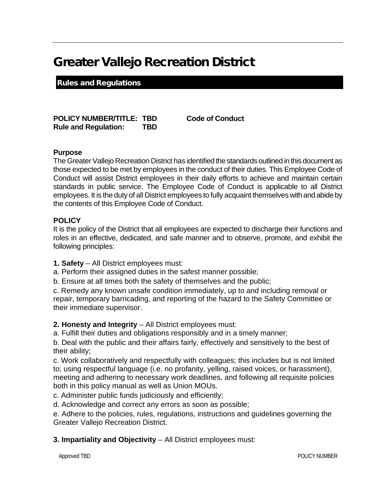Rules and Regulations

**POLICY NUMBER/TITLE: TBD Code of Conduct Rule and Regulation: TBD**

#### **Purpose**

The Greater Vallejo Recreation District has identified the standards outlined in this document as those expected to be met by employees in the conduct of their duties. This Employee Code of Conduct will assist District employees in their daily efforts to achieve and maintain certain standards in public service. The Employee Code of Conduct is applicable to all District employees. It is the duty of all District employees to fully acquaint themselves with and abide by the contents of this Employee Code of Conduct.

#### **POLICY**

It is the policy of the District that all employees are expected to discharge their functions and roles in an effective, dedicated, and safe manner and to observe, promote, and exhibit the following principles:

- **1. Safety**  All District employees must:
- a. Perform their assigned duties in the safest manner possible;
- b. Ensure at all times both the safety of themselves and the public;

c. Remedy any known unsafe condition immediately, up to and including removal or repair, temporary barricading, and reporting of the hazard to the Safety Committee or their immediate supervisor.

**2. Honesty and Integrity** – All District employees must:

a. Fulfill their duties and obligations responsibly and in a timely manner;

b. Deal with the public and their affairs fairly, effectively and sensitively to the best of their ability;

c. Work collaboratively and respectfully with colleagues; this includes but is not limited to; using respectful language (i.e. no profanity, yelling, raised voices, or harassment), meeting and adhering to necessary work deadlines, and following all requisite policies both in this policy manual as well as Union MOUs.

c. Administer public funds judiciously and efficiently;

d. Acknowledge and correct any errors as soon as possible;

e. Adhere to the policies, rules, regulations, instructions and guidelines governing the Greater Vallejo Recreation District.

#### **3. Impartiality and Objectivity** – All District employees must: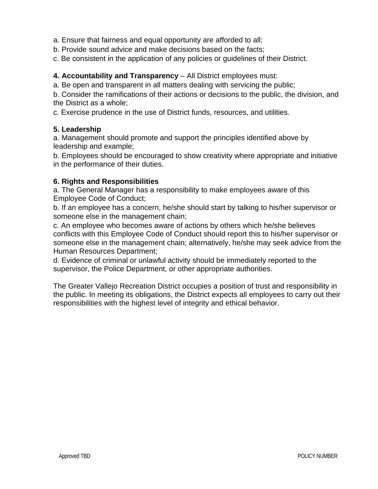- a. Ensure that fairness and equal opportunity are afforded to all;
- b. Provide sound advice and make decisions based on the facts;
- c. Be consistent in the application of any policies or guidelines of their District.

#### **4. Accountability and Transparency** – All District employees must:

a. Be open and transparent in all matters dealing with servicing the public;

b. Consider the ramifications of their actions or decisions to the public, the division, and the District as a whole;

c. Exercise prudence in the use of District funds, resources, and utilities.

#### **5. Leadership**

a. Management should promote and support the principles identified above by leadership and example;

b. Employees should be encouraged to show creativity where appropriate and initiative in the performance of their duties.

#### **6. Rights and Responsibilities**

a. The General Manager has a responsibility to make employees aware of this Employee Code of Conduct;

b. If an employee has a concern, he/she should start by talking to his/her supervisor or someone else in the management chain;

c. An employee who becomes aware of actions by others which he/she believes conflicts with this Employee Code of Conduct should report this to his/her supervisor or someone else in the management chain; alternatively, he/she may seek advice from the Human Resources Department;

d. Evidence of criminal or unlawful activity should be immediately reported to the supervisor, the Police Department, or other appropriate authorities.

The Greater Vallejo Recreation District occupies a position of trust and responsibility in the public. In meeting its obligations, the District expects all employees to carry out their responsibilities with the highest level of integrity and ethical behavior.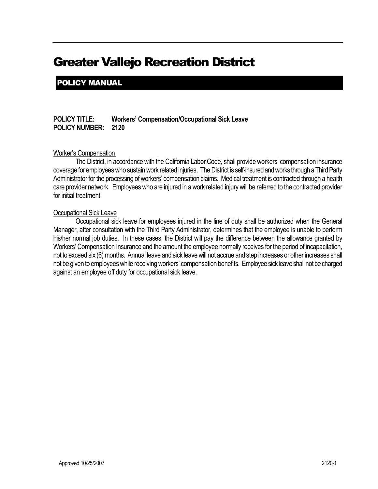POLICY MANUAL

**POLICY TITLE: Workers' Compensation/Occupational Sick Leave POLICY NUMBER: 2120**

#### Worker's Compensation

The District, in accordance with the California Labor Code, shall provide workers' compensation insurance coverage for employees who sustain work related injuries. The District is self-insuredand works through a Third Party Administrator for the processing of workers' compensation claims. Medical treatment is contracted through a health care provider network. Employees who are injured in a work related injury will be referred to the contracted provider for initial treatment.

#### Occupational Sick Leave

Occupational sick leave for employees injured in the line of duty shall be authorized when the General Manager, after consultation with the Third Party Administrator, determines that the employee is unable to perform his/her normal job duties. In these cases, the District will pay the difference between the allowance granted by Workers' Compensation Insurance and the amount the employee normally receives for the period of incapacitation, not to exceed six (6) months. Annual leave and sick leave will not accrue and step increases or other increases shall not be given to employees while receiving workers' compensation benefits. Employee sick leave shall not be charged against an employee off duty for occupational sick leave.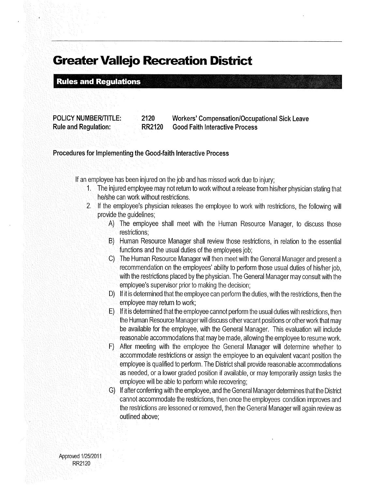**Rules and Regulations** 

**POLICY NUMBER/TITLE:** 2120 RR2120 **Rule and Regulation:** 

**Workers' Compensation/Occupational Sick Leave Good Faith Interactive Process** 

Procedures for Implementing the Good-faith Interactive Process

If an employee has been injured on the job and has missed work due to injury;

- 1. The injured employee may not return to work without a release from his/her physician stating that he/she can work without restrictions.
- 2. If the employee's physician releases the employee to work with restrictions, the following will provide the quidelines;
	- A) The employee shall meet with the Human Resource Manager, to discuss those restrictions:
	- B) Human Resource Manager shall review those restrictions, in relation to the essential functions and the usual duties of the employees job:
	- C) The Human Resource Manager will then meet with the General Manager and present a recommendation on the employees' ability to perform those usual duties of his/her job. with the restrictions placed by the physician. The General Manager may consult with the employee's supervisor prior to making the decision;
	- D) If it is determined that the employee can perform the duties, with the restrictions, then the employee may return to work;
	- E) If it is determined that the employee cannot perform the usual duties with restrictions, then the Human Resource Manager will discuss other vacant positions or other work that may be available for the employee, with the General Manager. This evaluation will include reasonable accommodations that may be made, allowing the employee to resume work.
	- After meeting with the employee the General Manager will determine whether to  $F$ ) accommodate restrictions or assign the employee to an equivalent vacant position the employee is qualified to perform. The District shall provide reasonable accommodations as needed, or a lower graded position if available, or may temporarily assign tasks the employee will be able to perform while recovering;
	- G) If after conferring with the employee, and the General Manager determines that the District cannot accommodate the restrictions, then once the employees condition improves and the restrictions are lessoned or removed, then the General Manager will again review as outlined above;

Approved 1/25/2011 **RR2120**